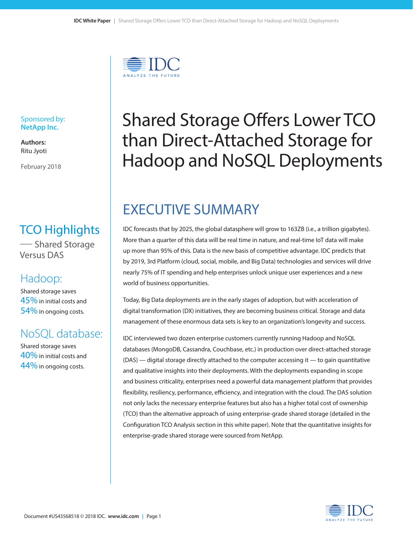

#### Sponsored by: **NetApp Inc.**

**Authors:** Ritu Jyoti

February 2018

### TCO Highlights

—Shared Storage Versus DAS

### Hadoop:

Shared storage saves  $45%$  in initial costs and 54% in ongoing costs.

### NoSQL database:

Shared storage saves  $40\%$  in initial costs and 44% in ongoing costs.

# Shared Storage Offers Lower TCO than Direct-Attached Storage for Hadoop and NoSQL Deployments

# EXECUTIVE SUMMARY

IDC forecasts that by 2025, the global datasphere will grow to 163ZB (i.e., a trillion gigabytes). More than a quarter of this data will be real time in nature, and real-time IoT data will make up more than 95% of this. Data is the new basis of competitive advantage. IDC predicts that by 2019, 3rd Platform (cloud, social, mobile, and Big Data) technologies and services will drive nearly 75% of IT spending and help enterprises unlock unique user experiences and a new world of business opportunities.

Today, Big Data deployments are in the early stages of adoption, but with acceleration of digital transformation (DX) initiatives, they are becoming business critical. Storage and data management of these enormous data sets is key to an organization's longevity and success.

IDC interviewed two dozen enterprise customers currently running Hadoop and NoSQL databases (MongoDB, Cassandra, Couchbase, etc.) in production over direct-attached storage (DAS) — digital storage directly attached to the computer accessing it — to gain quantitative and qualitative insights into their deployments. With the deployments expanding in scope and business criticality, enterprises need a powerful data management platform that provides flexibility, resiliency, performance, efficiency, and integration with the cloud. The DAS solution not only lacks the necessary enterprise features but also has a higher total cost of ownership (TCO) than the alternative approach of using enterprise-grade shared storage (detailed in the Configuration TCO Analysis section in this white paper). Note that the quantitative insights for enterprise-grade shared storage were sourced from NetApp.

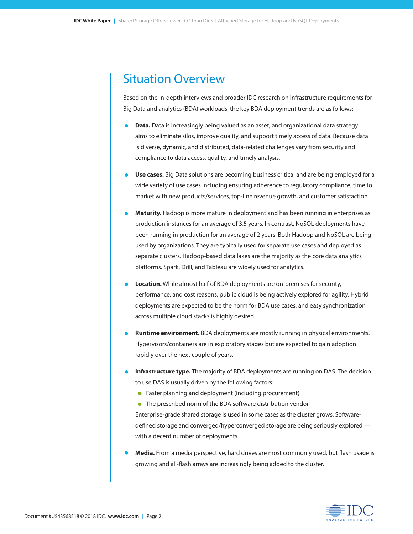### Situation Overview

Based on the in-depth interviews and broader IDC research on infrastructure requirements for Big Data and analytics (BDA) workloads, the key BDA deployment trends are as follows:

- **• Data.** Data is increasingly being valued as an asset, and organizational data strategy aims to eliminate silos, improve quality, and support timely access of data. Because data is diverse, dynamic, and distributed, data-related challenges vary from security and compliance to data access, quality, and timely analysis.
- **• Use cases.** Big Data solutions are becoming business critical and are being employed for a wide variety of use cases including ensuring adherence to regulatory compliance, time to market with new products/services, top-line revenue growth, and customer satisfaction.
- **• Maturity.** Hadoop is more mature in deployment and has been running in enterprises as production instances for an average of 3.5 years. In contrast, NoSQL deployments have been running in production for an average of 2 years. Both Hadoop and NoSQL are being used by organizations. They are typically used for separate use cases and deployed as separate clusters. Hadoop-based data lakes are the majority as the core data analytics platforms. Spark, Drill, and Tableau are widely used for analytics.
- **• Location.** While almost half of BDA deployments are on-premises for security, performance, and cost reasons, public cloud is being actively explored for agility. Hybrid deployments are expected to be the norm for BDA use cases, and easy synchronization across multiple cloud stacks is highly desired.
- **• Runtime environment.** BDA deployments are mostly running in physical environments. Hypervisors/containers are in exploratory stages but are expected to gain adoption rapidly over the next couple of years.
- **• Infrastructure type.** The majority of BDA deployments are running on DAS. The decision to use DAS is usually driven by the following factors:
	- **•** Faster planning and deployment (including procurement)
	- The prescribed norm of the BDA software distribution vendor

Enterprise-grade shared storage is used in some cases as the cluster grows. Softwaredefined storage and converged/hyperconverged storage are being seriously explored with a decent number of deployments.

**• Media.** From a media perspective, hard drives are most commonly used, but flash usage is growing and all-flash arrays are increasingly being added to the cluster.

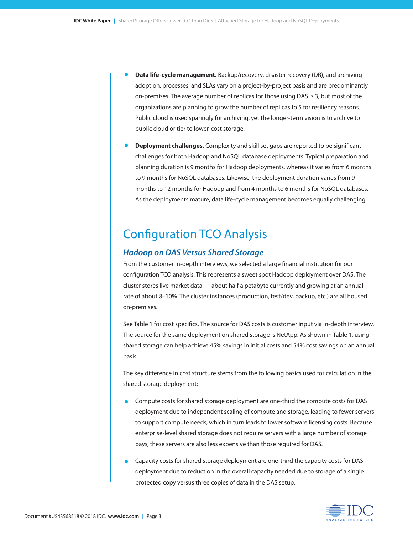- **• Data life-cycle management.** Backup/recovery, disaster recovery (DR), and archiving adoption, processes, and SLAs vary on a project-by-project basis and are predominantly on-premises. The average number of replicas for those using DAS is 3, but most of the organizations are planning to grow the number of replicas to 5 for resiliency reasons. Public cloud is used sparingly for archiving, yet the longer-term vision is to archive to public cloud or tier to lower-cost storage.
- **• Deployment challenges.** Complexity and skill set gaps are reported to be significant challenges for both Hadoop and NoSQL database deployments. Typical preparation and planning duration is 9 months for Hadoop deployments, whereas it varies from 6 months to 9 months for NoSQL databases. Likewise, the deployment duration varies from 9 months to 12 months for Hadoop and from 4 months to 6 months for NoSQL databases. As the deployments mature, data life-cycle management becomes equally challenging.

### Configuration TCO Analysis

#### *Hadoop on DAS Versus Shared Storage*

From the customer in-depth interviews, we selected a large financial institution for our configuration TCO analysis. This represents a sweet spot Hadoop deployment over DAS. The cluster stores live market data — about half a petabyte currently and growing at an annual rate of about 8–10%. The cluster instances (production, test/dev, backup, etc.) are all housed on-premises.

See Table 1 for cost specifics. The source for DAS costs is customer input via in-depth interview. The source for the same deployment on shared storage is NetApp. As shown in Table 1, using shared storage can help achieve 45% savings in initial costs and 54% cost savings on an annual basis.

The key difference in cost structure stems from the following basics used for calculation in the shared storage deployment:

- Compute costs for shared storage deployment are one-third the compute costs for DAS deployment due to independent scaling of compute and storage, leading to fewer servers to support compute needs, which in turn leads to lower software licensing costs. Because enterprise-level shared storage does not require servers with a large number of storage bays, these servers are also less expensive than those required for DAS.
- Capacity costs for shared storage deployment are one-third the capacity costs for DAS deployment due to reduction in the overall capacity needed due to storage of a single protected copy versus three copies of data in the DAS setup.

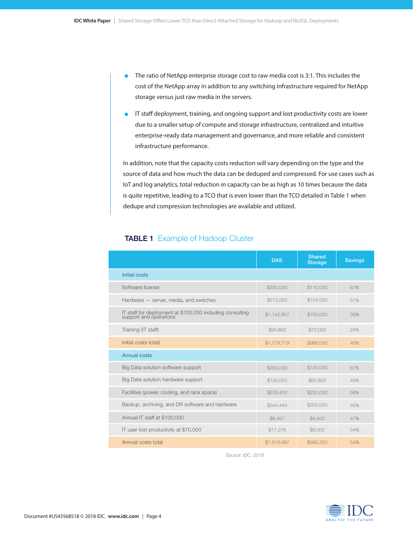- The ratio of NetApp enterprise storage cost to raw media cost is 3:1. This includes the cost of the NetApp array in addition to any switching infrastructure required for NetApp storage versus just raw media in the servers.
- IT staff deployment, training, and ongoing support and lost productivity costs are lower due to a smaller setup of compute and storage infrastructure, centralized and intuitive enterprise-ready data management and governance, and more reliable and consistent infrastructure performance.

In addition, note that the capacity costs reduction will vary depending on the type and the source of data and how much the data can be deduped and compressed. For use cases such as IoT and log analytics, total reduction in capacity can be as high as 10 times because the data is quite repetitive, leading to a TCO that is even lower than the TCO detailed in Table 1 when dedupe and compression technologies are available and utilized.

|                                                                                     | <b>DAS</b>  | <b>Shared</b><br><b>Storage</b> | <b>Savings</b> |
|-------------------------------------------------------------------------------------|-------------|---------------------------------|----------------|
| Initial costs                                                                       |             |                                 |                |
| Software license                                                                    | \$330,000   | \$110,000                       | 67%            |
| Hardware - server, media, and switches                                              | \$212,000   | \$104,000                       | 51%            |
| IT staff for deployment at \$100,000 including consulting<br>support and operations | \$1,142,857 | \$700,000                       | 39%            |
| Training (IT staff)                                                                 | \$94,862    | \$72,000                        | 24%            |
| Initial costs total)                                                                | \$1,779,719 | \$986,000                       | 45%            |
| Annual costs                                                                        |             |                                 |                |
| Big Data solution software support                                                  | \$300,000   | \$100,000                       | 67%            |
| Big Data solution hardware support                                                  | \$120,000   | \$60,800                        | 49%            |
| Facilities (power, cooling, and rack space)                                         | \$529,400   | \$220,000                       | 58%            |
| Backup, archiving, and DR software and hardware                                     | \$544,444   | \$300,000                       | 45%            |
| Annual IT staff at \$100,000                                                        | \$8,467     | \$4,500                         | 47%            |
| IT user lost productivity at \$70,000                                               | \$17,376    | \$8,000                         | 54%            |
| Annual costs total                                                                  | \$1,519,687 | \$693,300                       | 54%            |

#### **TABLE 1** Example of Hadoop Cluster

*Source: IDC, 2018*

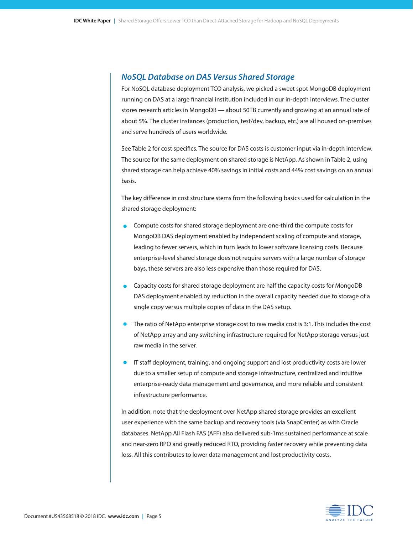#### *NoSQL Database on DAS Versus Shared Storage*

For NoSQL database deployment TCO analysis, we picked a sweet spot MongoDB deployment running on DAS at a large financial institution included in our in-depth interviews. The cluster stores research articles in MongoDB — about 50TB currently and growing at an annual rate of about 5%. The cluster instances (production, test/dev, backup, etc.) are all housed on-premises and serve hundreds of users worldwide.

See Table 2 for cost specifics. The source for DAS costs is customer input via in-depth interview. The source for the same deployment on shared storage is NetApp. As shown in Table 2, using shared storage can help achieve 40% savings in initial costs and 44% cost savings on an annual basis.

The key difference in cost structure stems from the following basics used for calculation in the shared storage deployment:

- Compute costs for shared storage deployment are one-third the compute costs for MongoDB DAS deployment enabled by independent scaling of compute and storage, leading to fewer servers, which in turn leads to lower software licensing costs. Because enterprise-level shared storage does not require servers with a large number of storage bays, these servers are also less expensive than those required for DAS.
- Capacity costs for shared storage deployment are half the capacity costs for MongoDB DAS deployment enabled by reduction in the overall capacity needed due to storage of a single copy versus multiple copies of data in the DAS setup.
- The ratio of NetApp enterprise storage cost to raw media cost is 3:1. This includes the cost of NetApp array and any switching infrastructure required for NetApp storage versus just raw media in the server.
- **•** IT staff deployment, training, and ongoing support and lost productivity costs are lower due to a smaller setup of compute and storage infrastructure, centralized and intuitive enterprise-ready data management and governance, and more reliable and consistent infrastructure performance.

In addition, note that the deployment over NetApp shared storage provides an excellent user experience with the same backup and recovery tools (via SnapCenter) as with Oracle databases. NetApp All Flash FAS (AFF) also delivered sub-1ms sustained performance at scale and near-zero RPO and greatly reduced RTO, providing faster recovery while preventing data loss. All this contributes to lower data management and lost productivity costs.

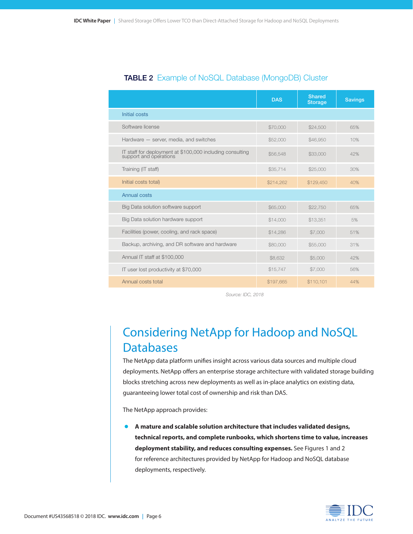|                                                                                     | <b>DAS</b> | <b>Shared</b><br><b>Storage</b> | <b>Savings</b> |
|-------------------------------------------------------------------------------------|------------|---------------------------------|----------------|
| Initial costs                                                                       |            |                                 |                |
| Software license                                                                    | \$70,000   | \$24,500                        | 65%            |
| Hardware - server, media, and switches                                              | \$52,000   | \$46,950                        | 10%            |
| IT staff for deployment at \$100,000 including consulting<br>support and operations | \$56,548   | \$33,000                        | 42%            |
| Training (IT staff)                                                                 | \$35,714   | \$25,000                        | 30%            |
| Initial costs total)                                                                | \$214,262  | \$129,450                       | 40%            |
| Annual costs                                                                        |            |                                 |                |
| Big Data solution software support                                                  | \$65,000   | \$22,750                        | 65%            |
| Big Data solution hardware support                                                  | \$14,000   | \$13,351                        | 5%             |
| Facilities (power, cooling, and rack space)                                         | \$14,286   | \$7,000                         | 51%            |
| Backup, archiving, and DR software and hardware                                     | \$80,000   | \$55,000                        | 31%            |
| Annual IT staff at \$100,000                                                        | \$8,632    | \$5,000                         | 42%            |
| IT user lost productivity at \$70,000                                               | \$15,747   | \$7,000                         | 56%            |
| Annual costs total                                                                  | \$197,665  | \$110,101                       | 44%            |

#### TABLE 2 Example of NoSQL Database (MongoDB) Cluster

*Source: IDC, 2018*

### Considering NetApp for Hadoop and NoSQL **Databases**

The NetApp data platform unifies insight across various data sources and multiple cloud deployments. NetApp offers an enterprise storage architecture with validated storage building blocks stretching across new deployments as well as in-place analytics on existing data, guaranteeing lower total cost of ownership and risk than DAS.

The NetApp approach provides:

**• A mature and scalable solution architecture that includes validated designs, technical reports, and complete runbooks, which shortens time to value, increases deployment stability, and reduces consulting expenses.** See Figures 1 and 2 for reference architectures provided by NetApp for Hadoop and NoSQL database deployments, respectively.

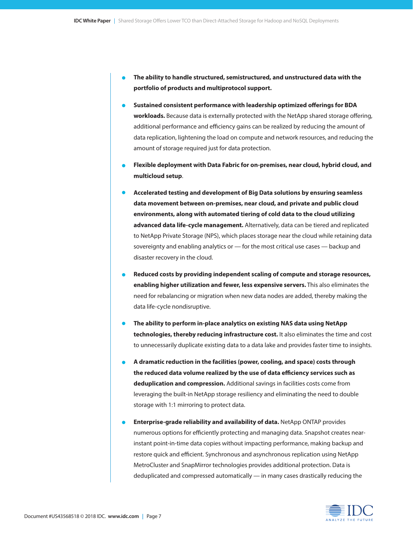- **• The ability to handle structured, semistructured, and unstructured data with the portfolio of products and multiprotocol support.**
- **• Sustained consistent performance with leadership optimized offerings for BDA workloads.** Because data is externally protected with the NetApp shared storage offering, additional performance and efficiency gains can be realized by reducing the amount of data replication, lightening the load on compute and network resources, and reducing the amount of storage required just for data protection.
- **• Flexible deployment with Data Fabric for on-premises, near cloud, hybrid cloud, and multicloud setup**.
- **• Accelerated testing and development of Big Data solutions by ensuring seamless data movement between on-premises, near cloud, and private and public cloud environments, along with automated tiering of cold data to the cloud utilizing advanced data life-cycle management.** Alternatively, data can be tiered and replicated to NetApp Private Storage (NPS), which places storage near the cloud while retaining data sovereignty and enabling analytics or — for the most critical use cases — backup and disaster recovery in the cloud.
- **• Reduced costs by providing independent scaling of compute and storage resources, enabling higher utilization and fewer, less expensive servers.** This also eliminates the need for rebalancing or migration when new data nodes are added, thereby making the data life-cycle nondisruptive.
- **• The ability to perform in-place analytics on existing NAS data using NetApp technologies, thereby reducing infrastructure cost.** It also eliminates the time and cost to unnecessarily duplicate existing data to a data lake and provides faster time to insights.
- **• A dramatic reduction in the facilities (power, cooling, and space) costs through the reduced data volume realized by the use of data efficiency services such as deduplication and compression.** Additional savings in facilities costs come from leveraging the built-in NetApp storage resiliency and eliminating the need to double storage with 1:1 mirroring to protect data.
- **• Enterprise-grade reliability and availability of data.** NetApp ONTAP provides numerous options for efficiently protecting and managing data. Snapshot creates nearinstant point-in-time data copies without impacting performance, making backup and restore quick and efficient. Synchronous and asynchronous replication using NetApp MetroCluster and SnapMirror technologies provides additional protection. Data is deduplicated and compressed automatically — in many cases drastically reducing the

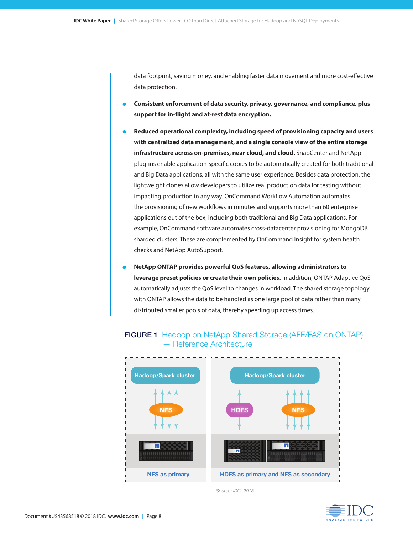data footprint, saving money, and enabling faster data movement and more cost-effective data protection.

- **• Consistent enforcement of data security, privacy, governance, and compliance, plus support for in-flight and at-rest data encryption.**
- **• Reduced operational complexity, including speed of provisioning capacity and users with centralized data management, and a single console view of the entire storage infrastructure across on-premises, near cloud, and cloud.** SnapCenter and NetApp plug-ins enable application-specific copies to be automatically created for both traditional and Big Data applications, all with the same user experience. Besides data protection, the lightweight clones allow developers to utilize real production data for testing without impacting production in any way. OnCommand Workflow Automation automates the provisioning of new workflows in minutes and supports more than 60 enterprise applications out of the box, including both traditional and Big Data applications. For example, OnCommand software automates cross-datacenter provisioning for MongoDB sharded clusters. These are complemented by OnCommand Insight for system health checks and NetApp AutoSupport.
- **• NetApp ONTAP provides powerful QoS features, allowing administrators to leverage preset policies or create their own policies.** In addition, ONTAP Adaptive QoS automatically adjusts the QoS level to changes in workload. The shared storage topology with ONTAP allows the data to be handled as one large pool of data rather than many distributed smaller pools of data, thereby speeding up access times.



FIGURE 1 Hadoop on NetApp Shared Storage (AFF/FAS on ONTAP) — Reference Architecture

 *Source: IDC, 2018*

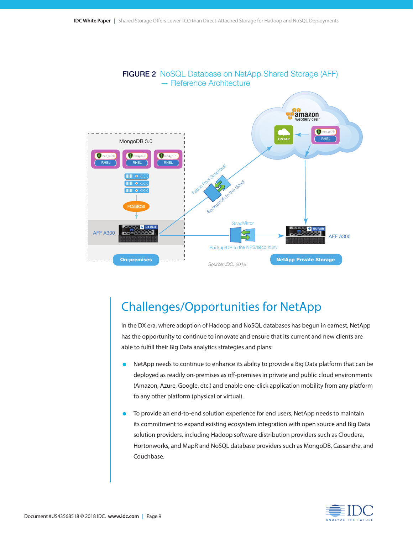

### Challenges/Opportunities for NetApp

In the DX era, where adoption of Hadoop and NoSQL databases has begun in earnest, NetApp has the opportunity to continue to innovate and ensure that its current and new clients are able to fulfill their Big Data analytics strategies and plans:

- NetApp needs to continue to enhance its ability to provide a Big Data platform that can be deployed as readily on-premises as off-premises in private and public cloud environments (Amazon, Azure, Google, etc.) and enable one-click application mobility from any platform to any other platform (physical or virtual).
- To provide an end-to-end solution experience for end users, NetApp needs to maintain its commitment to expand existing ecosystem integration with open source and Big Data solution providers, including Hadoop software distribution providers such as Cloudera, Hortonworks, and MapR and NoSQL database providers such as MongoDB, Cassandra, and Couchbase.

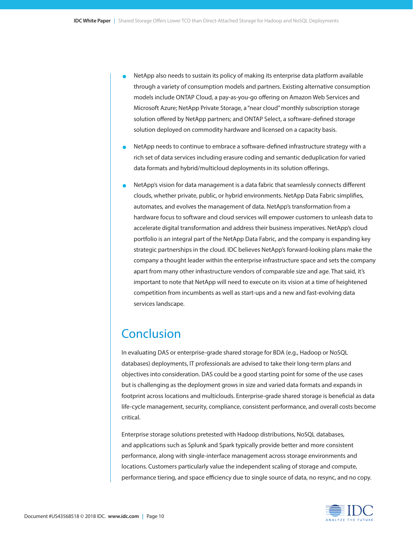- NetApp also needs to sustain its policy of making its enterprise data platform available through a variety of consumption models and partners. Existing alternative consumption models include ONTAP Cloud, a pay-as-you-go offering on Amazon Web Services and Microsoft Azure; NetApp Private Storage, a "near cloud" monthly subscription storage solution offered by NetApp partners; and ONTAP Select, a software-defined storage solution deployed on commodity hardware and licensed on a capacity basis.
- NetApp needs to continue to embrace a software-defined infrastructure strategy with a rich set of data services including erasure coding and semantic deduplication for varied data formats and hybrid/multicloud deployments in its solution offerings.
- NetApp's vision for data management is a data fabric that seamlessly connects different clouds, whether private, public, or hybrid environments. NetApp Data Fabric simplifies, automates, and evolves the management of data. NetApp's transformation from a hardware focus to software and cloud services will empower customers to unleash data to accelerate digital transformation and address their business imperatives. NetApp's cloud portfolio is an integral part of the NetApp Data Fabric, and the company is expanding key strategic partnerships in the cloud. IDC believes NetApp's forward-looking plans make the company a thought leader within the enterprise infrastructure space and sets the company apart from many other infrastructure vendors of comparable size and age. That said, it's important to note that NetApp will need to execute on its vision at a time of heightened competition from incumbents as well as start-ups and a new and fast-evolving data services landscape.

### Conclusion

In evaluating DAS or enterprise-grade shared storage for BDA (e.g., Hadoop or NoSQL databases) deployments, IT professionals are advised to take their long-term plans and objectives into consideration. DAS could be a good starting point for some of the use cases but is challenging as the deployment grows in size and varied data formats and expands in footprint across locations and multiclouds. Enterprise-grade shared storage is beneficial as data life-cycle management, security, compliance, consistent performance, and overall costs become critical.

Enterprise storage solutions pretested with Hadoop distributions, NoSQL databases, and applications such as Splunk and Spark typically provide better and more consistent performance, along with single-interface management across storage environments and locations. Customers particularly value the independent scaling of storage and compute, performance tiering, and space efficiency due to single source of data, no resync, and no copy.